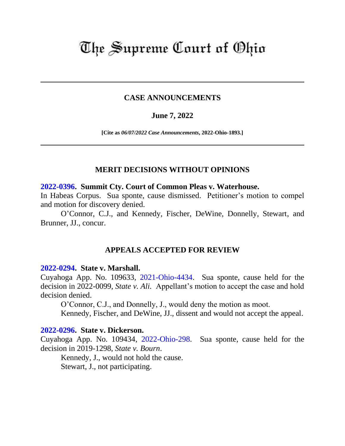# The Supreme Court of Ohio

# **CASE ANNOUNCEMENTS**

# **June 7, 2022**

**[Cite as** *06/07/2022 Case Announcements***, 2022-Ohio-1893.]**

# **MERIT DECISIONS WITHOUT OPINIONS**

## **[2022-0396.](https://www.supremecourt.ohio.gov/Clerk/ecms/#/caseinfo/2022/0396) Summit Cty. Court of Common Pleas v. Waterhouse.**

In Habeas Corpus. Sua sponte, cause dismissed. Petitioner's motion to compel and motion for discovery denied.

O'Connor, C.J., and Kennedy, Fischer, DeWine, Donnelly, Stewart, and Brunner, JJ., concur.

# **APPEALS ACCEPTED FOR REVIEW**

## **[2022-0294.](https://www.supremecourt.ohio.gov/Clerk/ecms/#/caseinfo/2022/0294) State v. Marshall.**

Cuyahoga App. No. 109633, [2021-Ohio-4434.](https://www.supremecourt.ohio.gov/rod/docs/pdf/8/2021/2021-Ohio-4434.pdf) Sua sponte, cause held for the decision in 2022-0099, *State v. Ali.* Appellant's motion to accept the case and hold decision denied.

O'Connor, C.J., and Donnelly, J., would deny the motion as moot.

Kennedy, Fischer, and DeWine, JJ., dissent and would not accept the appeal.

## **[2022-0296.](https://www.supremecourt.ohio.gov/Clerk/ecms/#/caseinfo/2022/0296) State v. Dickerson.**

Cuyahoga App. No. 109434, [2022-Ohio-298.](https://www.supremecourt.ohio.gov/rod/docs/pdf/8/2022/2022-Ohio-298.pdf) Sua sponte, cause held for the decision in 2019-1298, *State v. Bourn*.

Kennedy, J., would not hold the cause.

Stewart, J., not participating.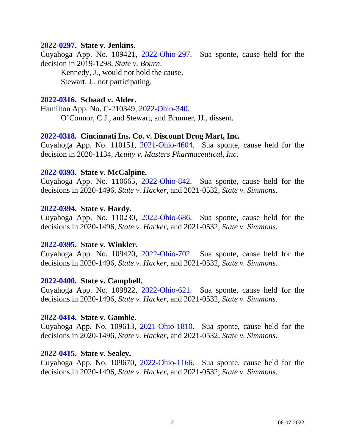## **[2022-0297.](https://www.supremecourt.ohio.gov/Clerk/ecms/#/caseinfo/2022/0297) State v. Jenkins.**

Cuyahoga App. No. 109421, [2022-Ohio-297.](https://www.supremecourt.ohio.gov/rod/docs/pdf/8/2022/2022-Ohio-297.pdf) Sua sponte, cause held for the decision in 2019-1298, *State v. Bourn*.

Kennedy, J., would not hold the cause. Stewart, J., not participating.

## **[2022-0316.](https://www.supremecourt.ohio.gov/Clerk/ecms/#/caseinfo/2022/0316) Schaad v. Alder.**

Hamilton App. No. C-210349, [2022-Ohio-340.](https://www.supremecourt.ohio.gov/rod/docs/pdf/1/2022/2022-Ohio-340.pdf)

O'Connor, C.J., and Stewart, and Brunner, JJ., dissent.

#### **[2022-0318.](https://www.supremecourt.ohio.gov/Clerk/ecms/#/caseinfo/2022/0318) Cincinnati Ins. Co. v. Discount Drug Mart, Inc.**

Cuyahoga App. No. 110151, [2021-Ohio-4604.](https://www.supremecourt.ohio.gov/rod/docs/pdf/8/2021/2021-Ohio-4604.pdf) Sua sponte, cause held for the decision in 2020-1134, *Acuity v. Masters Pharmaceutical, Inc.*

## **[2022-0393.](https://www.supremecourt.ohio.gov/Clerk/ecms/#/caseinfo/2022/0393) State v. McCalpine.**

Cuyahoga App. No. 110665, [2022-Ohio-842.](https://www.supremecourt.ohio.gov/rod/docs/pdf/8/2022/2022-Ohio-842.pdf) Sua sponte, cause held for the decisions in 2020-1496, *State v. Hacker*, and 2021-0532, *State v. Simmons*.

## **[2022-0394.](https://www.supremecourt.ohio.gov/Clerk/ecms/#/caseinfo/2022/0394) State v. Hardy.**

Cuyahoga App. No. 110230, [2022-Ohio-686.](https://www.supremecourt.ohio.gov/rod/docs/pdf/8/2022/2022-Ohio-686.pdf) Sua sponte, cause held for the decisions in 2020-1496, *State v. Hacker*, and 2021-0532, *State v. Simmons*.

#### **[2022-0395.](https://www.supremecourt.ohio.gov/Clerk/ecms/#/caseinfo/2022/0395) State v. Winkler.**

Cuyahoga App. No. 109420, [2022-Ohio-702.](https://www.supremecourt.ohio.gov/rod/docs/pdf/8/2022/2022-Ohio-702.pdf) Sua sponte, cause held for the decisions in 2020-1496, *State v. Hacker*, and 2021-0532, *State v. Simmons*.

#### **[2022-0400.](https://www.supremecourt.ohio.gov/Clerk/ecms/#/caseinfo/2022/0400) State v. Campbell.**

Cuyahoga App. No. 109822, [2022-Ohio-621.](https://www.supremecourt.ohio.gov/rod/docs/pdf/8/2022/2022-Ohio-621.pdf) Sua sponte, cause held for the decisions in 2020-1496, *State v. Hacker*, and 2021-0532, *State v. Simmons*.

#### **[2022-0414.](https://www.supremecourt.ohio.gov/Clerk/ecms/#/caseinfo/2022/0414) State v. Gamble.**

Cuyahoga App. No. 109613, [2021-Ohio-1810.](https://www.supremecourt.ohio.gov/rod/docs/pdf/8/2021/2021-Ohio-1810.pdf) Sua sponte, cause held for the decisions in 2020-1496, *State v. Hacker*, and 2021-0532, *State v. Simmons*.

# **[2022-0415.](https://www.supremecourt.ohio.gov/Clerk/ecms/#/caseinfo/2022/0415) State v. Sealey.**

Cuyahoga App. No. 109670, [2022-Ohio-1166.](https://www.supremecourt.ohio.gov/rod/docs/pdf/8/2022/2022-Ohio-1166.pdf) Sua sponte, cause held for the decisions in 2020-1496, *State v. Hacker*, and 2021-0532, *State v. Simmons*.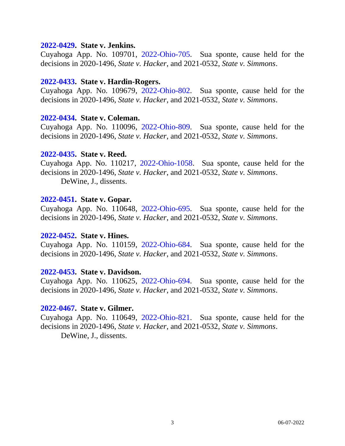#### **[2022-0429.](https://www.supremecourt.ohio.gov/Clerk/ecms/#/caseinfo/2022/0429) State v. Jenkins.**

Cuyahoga App. No. 109701, [2022-Ohio-705.](https://www.supremecourt.ohio.gov/rod/docs/pdf/8/2022/2022-Ohio-705.pdf) Sua sponte, cause held for the decisions in 2020-1496, *State v. Hacker*, and 2021-0532, *State v. Simmons*.

## **[2022-0433.](https://www.supremecourt.ohio.gov/Clerk/ecms/#/caseinfo/2022/0433) State v. Hardin-Rogers.**

Cuyahoga App. No. 109679, [2022-Ohio-802.](https://www.supremecourt.ohio.gov/rod/docs/pdf/8/2022/2022-Ohio-802.pdf) Sua sponte, cause held for the decisions in 2020-1496, *State v. Hacker*, and 2021-0532, *State v. Simmons*.

## **[2022-0434.](https://www.supremecourt.ohio.gov/Clerk/ecms/#/caseinfo/2022/0434) State v. Coleman.**

Cuyahoga App. No. 110096, [2022-Ohio-809.](https://www.supremecourt.ohio.gov/rod/docs/pdf/8/2022/2022-Ohio-809.pdf) Sua sponte, cause held for the decisions in 2020-1496, *State v. Hacker*, and 2021-0532, *State v. Simmons*.

#### **[2022-0435.](https://www.supremecourt.ohio.gov/Clerk/ecms/#/caseinfo/2022/0435) State v. Reed.**

Cuyahoga App. No. 110217, [2022-Ohio-1058.](https://www.supremecourt.ohio.gov/rod/docs/pdf/8/2022/2022-Ohio-1058.pdf) Sua sponte, cause held for the decisions in 2020-1496, *State v. Hacker*, and 2021-0532, *State v. Simmons*. DeWine, J., dissents.

## **[2022-0451.](https://www.supremecourt.ohio.gov/Clerk/ecms/#/caseinfo/2022/0451) State v. Gopar.**

Cuyahoga App. No. 110648, [2022-Ohio-695.](https://www.supremecourt.ohio.gov/rod/docs/pdf/8/2022/2022-Ohio-695.pdf) Sua sponte, cause held for the decisions in 2020-1496, *State v. Hacker*, and 2021-0532, *State v. Simmons*.

#### **[2022-0452.](https://www.supremecourt.ohio.gov/Clerk/ecms/#/caseinfo/2022/0452) State v. Hines.**

Cuyahoga App. No. 110159, [2022-Ohio-684.](https://www.supremecourt.ohio.gov/rod/docs/pdf/8/2022/2022-Ohio-684.pdf) Sua sponte, cause held for the decisions in 2020-1496, *State v. Hacker*, and 2021-0532, *State v. Simmons*.

## **[2022-0453.](https://www.supremecourt.ohio.gov/Clerk/ecms/#/caseinfo/2022/0453) State v. Davidson.**

Cuyahoga App. No. 110625, [2022-Ohio-694.](https://www.supremecourt.ohio.gov/rod/docs/pdf/8/2022/2022-Ohio-694.pdf) Sua sponte, cause held for the decisions in 2020-1496, *State v. Hacker*, and 2021-0532, *State v. Simmons*.

#### **[2022-0467.](https://www.supremecourt.ohio.gov/Clerk/ecms/#/caseinfo/2022/0467) State v. Gilmer.**

Cuyahoga App. No. 110649, [2022-Ohio-821.](https://www.supremecourt.ohio.gov/rod/docs/pdf/8/2022/2022-Ohio-821.pdf) Sua sponte, cause held for the decisions in 2020-1496, *State v. Hacker*, and 2021-0532, *State v. Simmons*. DeWine, J., dissents.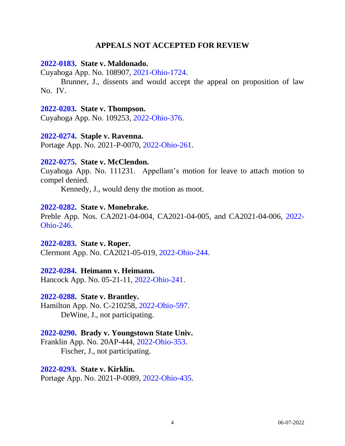# **APPEALS NOT ACCEPTED FOR REVIEW**

#### **[2022-0183.](https://www.supremecourt.ohio.gov/Clerk/ecms/#/caseinfo/2022/0183) State v. Maldonado.**

Cuyahoga App. No. 108907, [2021-Ohio-1724.](https://www.supremecourt.ohio.gov/rod/docs/pdf/8/2021/2021-Ohio-1724.pdf)

Brunner, J., dissents and would accept the appeal on proposition of law No. IV.

## **[2022-0203.](https://www.supremecourt.ohio.gov/Clerk/ecms/#/caseinfo/2022/0203) State v. Thompson.**

Cuyahoga App. No. 109253, [2022-Ohio-376.](https://www.supremecourt.ohio.gov/rod/docs/pdf/8/2022/2022-Ohio-376.pdf)

## **[2022-0274.](https://www.supremecourt.ohio.gov/Clerk/ecms/#/caseinfo/2022/0274) Staple v. Ravenna.**

Portage App. No. 2021-P-0070, [2022-Ohio-261.](https://www.supremecourt.ohio.gov/rod/docs/pdf/11/2022/2022-Ohio-261.pdf)

## **[2022-0275.](https://www.supremecourt.ohio.gov/Clerk/ecms/#/caseinfo/2022/0275) State v. McClendon.**

Cuyahoga App. No. 111231. Appellant's motion for leave to attach motion to compel denied.

Kennedy, J., would deny the motion as moot.

## **[2022-0282.](https://www.supremecourt.ohio.gov/Clerk/ecms/#/caseinfo/2022/0282) State v. Monebrake.**

Preble App. Nos. CA2021-04-004, CA2021-04-005, and CA2021-04-006, [2022-](https://www.supremecourt.ohio.gov/rod/docs/pdf/12/2022/2022-Ohio-246.pdf) [Ohio-246.](https://www.supremecourt.ohio.gov/rod/docs/pdf/12/2022/2022-Ohio-246.pdf)

## **[2022-0283.](https://www.supremecourt.ohio.gov/Clerk/ecms/#/caseinfo/2022/0283) State v. Roper.**

Clermont App. No. CA2021-05-019, [2022-Ohio-244.](https://www.supremecourt.ohio.gov/rod/docs/pdf/12/2022/2022-Ohio-244.pdf)

## **[2022-0284.](https://www.supremecourt.ohio.gov/Clerk/ecms/#/caseinfo/2022/0284) Heimann v. Heimann.**

Hancock App. No. 05-21-11, [2022-Ohio-241.](https://www.supremecourt.ohio.gov/rod/docs/pdf/3/2022/2022-Ohio-241.pdf)

## **[2022-0288.](https://www.supremecourt.ohio.gov/Clerk/ecms/#/caseinfo/2022/0288) State v. Brantley.**

Hamilton App. No. C-210258, [2022-Ohio-597.](https://www.supremecourt.ohio.gov/rod/docs/pdf/1/2022/2022-Ohio-597.pdf) DeWine, J., not participating.

## **[2022-0290.](https://www.supremecourt.ohio.gov/Clerk/ecms/#/caseinfo/2022/0290) Brady v. Youngstown State Univ.**

Franklin App. No. 20AP-444, [2022-Ohio-353.](https://www.supremecourt.ohio.gov/rod/docs/pdf/10/2022/2022-Ohio-353.pdf) Fischer, J., not participating.

## **[2022-0293.](https://www.supremecourt.ohio.gov/Clerk/ecms/#/caseinfo/2022/0293) State v. Kirklin.**

Portage App. No. 2021-P-0089, [2022-Ohio-435.](https://www.supremecourt.ohio.gov/rod/docs/pdf/11/2022/2022-Ohio-435.pdf)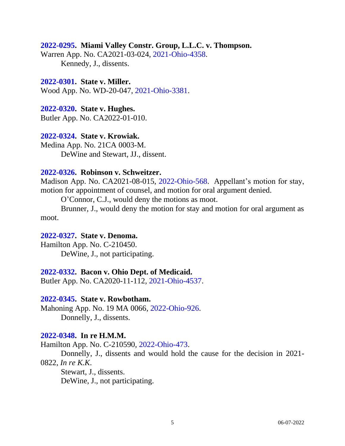## **[2022-0295.](https://www.supremecourt.ohio.gov/Clerk/ecms/#/caseinfo/2022/0295) Miami Valley Constr. Group, L.L.C. v. Thompson.**

Warren App. No. CA2021-03-024, [2021-Ohio-4358.](https://www.supremecourt.ohio.gov/rod/docs/pdf/12/2021/2021-Ohio-4358.pdf) Kennedy, J., dissents.

## **[2022-0301.](https://www.supremecourt.ohio.gov/Clerk/ecms/#/caseinfo/2022/0301) State v. Miller.**

Wood App. No. WD-20-047, [2021-Ohio-3381.](https://www.supremecourt.ohio.gov/rod/docs/pdf/6/2021/2021-Ohio-3381.pdf)

## **[2022-0320.](https://www.supremecourt.ohio.gov/Clerk/ecms/#/caseinfo/2022/0320) State v. Hughes.**

Butler App. No. CA2022-01-010.

## **[2022-0324.](https://www.supremecourt.ohio.gov/Clerk/ecms/#/caseinfo/2022/0324) State v. Krowiak.**

Medina App. No. 21CA 0003-M. DeWine and Stewart, JJ., dissent.

## **[2022-0326.](https://www.supremecourt.ohio.gov/Clerk/ecms/#/caseinfo/2022/0326) Robinson v. Schweitzer.**

Madison App. No. CA2021-08-015, [2022-Ohio-568.](https://www.supremecourt.ohio.gov/rod/docs/pdf/12/2022/2022-Ohio-568.pdf) Appellant's motion for stay, motion for appointment of counsel, and motion for oral argument denied.

O'Connor, C.J., would deny the motions as moot.

Brunner, J., would deny the motion for stay and motion for oral argument as moot.

#### **[2022-0327.](https://www.supremecourt.ohio.gov/Clerk/ecms/#/caseinfo/2022/0327) State v. Denoma.**

Hamilton App. No. C-210450. DeWine, J., not participating.

#### **[2022-0332.](https://www.supremecourt.ohio.gov/Clerk/ecms/#/caseinfo/2022/0332) Bacon v. Ohio Dept. of Medicaid.**

Butler App. No. CA2020-11-112, [2021-Ohio-4537.](https://www.supremecourt.ohio.gov/rod/docs/pdf/12/2021/2021-Ohio-4537.pdf)

## **[2022-0345.](https://www.supremecourt.ohio.gov/Clerk/ecms/#/caseinfo/2022/0345) State v. Rowbotham.**

Mahoning App. No. 19 MA 0066, [2022-Ohio-926.](https://www.supremecourt.ohio.gov/rod/docs/pdf/7/2022/2022-Ohio-926.pdf) Donnelly, J., dissents.

## **[2022-0348.](https://www.supremecourt.ohio.gov/Clerk/ecms/#/caseinfo/2022/0348) In re H.M.M.**

Hamilton App. No. C-210590, [2022-Ohio-473.](https://www.supremecourt.ohio.gov/rod/docs/pdf/1/2022/2022-Ohio-473.pdf)

Donnelly, J., dissents and would hold the cause for the decision in 2021- 0822, *In re K.K*.

Stewart, J., dissents. DeWine, J., not participating.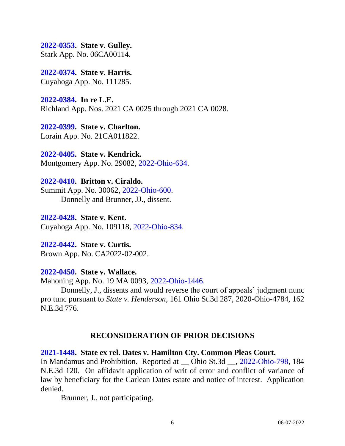**[2022-0353.](https://www.supremecourt.ohio.gov/Clerk/ecms/#/caseinfo/2022/0353) State v. Gulley.**  Stark App. No. 06CA00114.

**[2022-0374.](https://www.supremecourt.ohio.gov/Clerk/ecms/#/caseinfo/2022/0374) State v. Harris.**  Cuyahoga App. No. 111285.

**[2022-0384.](https://www.supremecourt.ohio.gov/Clerk/ecms/#/caseinfo/2022/0384) In re L.E.**  Richland App. Nos. 2021 CA 0025 through 2021 CA 0028.

**[2022-0399.](https://www.supremecourt.ohio.gov/Clerk/ecms/#/caseinfo/2022/0399) State v. Charlton.**  Lorain App. No. 21CA011822.

**[2022-0405.](https://www.supremecourt.ohio.gov/Clerk/ecms/#/caseinfo/2022/0405) State v. Kendrick.**  Montgomery App. No. 29082, [2022-Ohio-634.](https://www.supremecourt.ohio.gov/rod/docs/pdf/2/2022/2022-Ohio-634.pdf)

**[2022-0410.](https://www.supremecourt.ohio.gov/Clerk/ecms/#/caseinfo/2022/0410) Britton v. Ciraldo.**  Summit App. No. 30062, [2022-Ohio-600.](https://www.supremecourt.ohio.gov/rod/docs/pdf/9/2022/2022-Ohio-600.pdf) Donnelly and Brunner, JJ., dissent.

**[2022-0428.](https://www.supremecourt.ohio.gov/Clerk/ecms/#/caseinfo/2022/0428) State v. Kent.**  Cuyahoga App. No. 109118, [2022-Ohio-834.](https://www.supremecourt.ohio.gov/rod/docs/pdf/8/2022/2022-Ohio-834.pdf)

**[2022-0442.](https://www.supremecourt.ohio.gov/Clerk/ecms/#/caseinfo/2022/0442) State v. Curtis.**  Brown App. No. CA2022-02-002.

# **[2022-0450.](https://www.supremecourt.ohio.gov/Clerk/ecms/#/caseinfo/2022/0450) State v. Wallace.**

Mahoning App. No. 19 MA 0093, [2022-Ohio-1446.](https://www.supremecourt.ohio.gov/rod/docs/pdf/7/2022/2022-Ohio-1446.pdf)

Donnelly, J., dissents and would reverse the court of appeals' judgment nunc pro tunc pursuant to *State v. Henderson,* 161 Ohio St.3d 287, 2020-Ohio-4784, 162 N.E.3d 776.

# **RECONSIDERATION OF PRIOR DECISIONS**

# **[2021-1448.](https://www.supremecourt.ohio.gov/Clerk/ecms/#/caseinfo/2021/1448) State ex rel. Dates v. Hamilton Cty. Common Pleas Court.**

In Mandamus and Prohibition. Reported at \_\_ Ohio St.3d \_\_, [2022-Ohio-798,](https://www.supremecourt.ohio.gov/rod/docs/pdf/0/2022/2022-Ohio-798.pdf) 184 N.E.3d 120. On affidavit application of writ of error and conflict of variance of law by beneficiary for the Carlean Dates estate and notice of interest. Application denied.

Brunner, J., not participating.